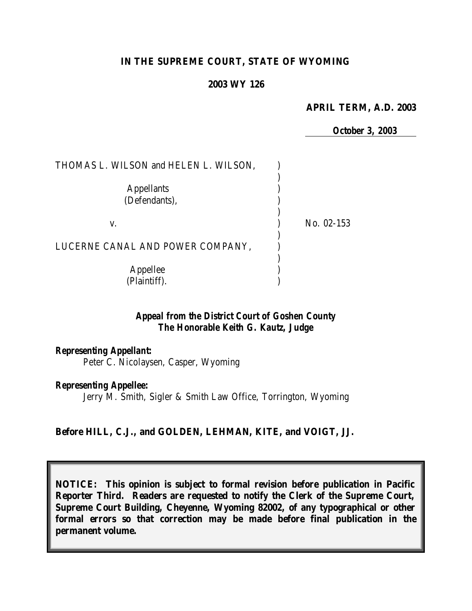### **IN THE SUPREME COURT, STATE OF WYOMING**

### **2003 WY 126**

#### **APRIL TERM, A.D. 2003**

*October 3, 2003*

| THOMAS L. WILSON and HELEN L. WILSON, |            |
|---------------------------------------|------------|
| <b>Appellants</b><br>(Defendants),    |            |
| V.                                    | No. 02-153 |
| LUCERNE CANAL AND POWER COMPANY,      |            |
| Appellee<br>(Plaintiff).              |            |

# *Appeal from the District Court of Goshen County The Honorable Keith G. Kautz, Judge*

*Representing Appellant:* Peter C. Nicolaysen, Casper, Wyoming

#### *Representing Appellee:*

Jerry M. Smith, Sigler & Smith Law Office, Torrington, Wyoming

### **Before HILL, C.J., and GOLDEN, LEHMAN, KITE, and VOIGT, JJ.**

**NOTICE: This opinion is subject to formal revision before publication in Pacific Reporter Third. Readers are requested to notify the Clerk of the Supreme Court, Supreme Court Building, Cheyenne, Wyoming 82002, of any typographical or other formal errors so that correction may be made before final publication in the permanent volume.**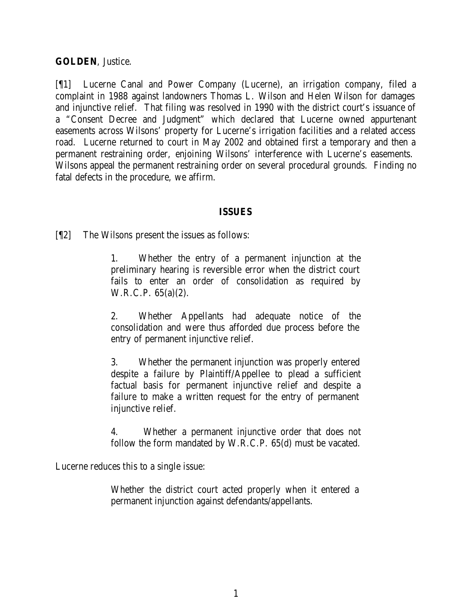## **GOLDEN**, Justice.

[¶1] Lucerne Canal and Power Company (Lucerne), an irrigation company, filed a complaint in 1988 against landowners Thomas L. Wilson and Helen Wilson for damages and injunctive relief. That filing was resolved in 1990 with the district court's issuance of a "Consent Decree and Judgment" which declared that Lucerne owned appurtenant easements across Wilsons' property for Lucerne's irrigation facilities and a related access road. Lucerne returned to court in May 2002 and obtained first a temporary and then a permanent restraining order, enjoining Wilsons' interference with Lucerne's easements. Wilsons appeal the permanent restraining order on several procedural grounds. Finding no fatal defects in the procedure, we affirm.

## **ISSUES**

[¶2] The Wilsons present the issues as follows:

1. Whether the entry of a permanent injunction at the preliminary hearing is reversible error when the district court fails to enter an order of consolidation as required by W.R.C.P. 65(a)(2).

2. Whether Appellants had adequate notice of the consolidation and were thus afforded due process before the entry of permanent injunctive relief.

3. Whether the permanent injunction was properly entered despite a failure by Plaintiff/Appellee to plead a sufficient factual basis for permanent injunctive relief and despite a failure to make a written request for the entry of permanent injunctive relief.

4. Whether a permanent injunctive order that does not follow the form mandated by W.R.C.P. 65(d) must be vacated.

Lucerne reduces this to a single issue:

Whether the district court acted properly when it entered a permanent injunction against defendants/appellants.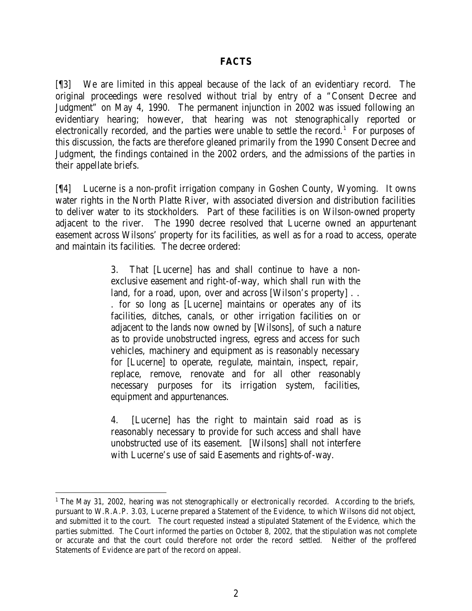### **FACTS**

[¶3] We are limited in this appeal because of the lack of an evidentiary record. The original proceedings were resolved without trial by entry of a "Consent Decree and Judgment" on May 4, 1990. The permanent injunction in 2002 was issued following an evidentiary hearing; however, that hearing was not stenographically reported or electronically recorded, and the parties were unable to settle the record.<sup>1</sup> For purposes of this discussion, the facts are therefore gleaned primarily from the 1990 Consent Decree and Judgment, the findings contained in the 2002 orders, and the admissions of the parties in their appellate briefs.

[¶4] Lucerne is a non-profit irrigation company in Goshen County, Wyoming. It owns water rights in the North Platte River, with associated diversion and distribution facilities to deliver water to its stockholders. Part of these facilities is on Wilson-owned property adjacent to the river. The 1990 decree resolved that Lucerne owned an appurtenant easement across Wilsons' property for its facilities, as well as for a road to access, operate and maintain its facilities. The decree ordered:

> 3. That [Lucerne] has and shall continue to have a nonexclusive easement and right-of-way, which shall run with the land, for a road, upon, over and across [Wilson's property]... . for so long as [Lucerne] maintains or operates any of its facilities, ditches, canals, or other irrigation facilities on or adjacent to the lands now owned by [Wilsons], of such a nature as to provide unobstructed ingress, egress and access for such vehicles, machinery and equipment as is reasonably necessary for [Lucerne] to operate, regulate, maintain, inspect, repair, replace, remove, renovate and for all other reasonably necessary purposes for its irrigation system, facilities, equipment and appurtenances.

> 4. [Lucerne] has the right to maintain said road as is reasonably necessary to provide for such access and shall have unobstructed use of its easement. [Wilsons] shall not interfere with Lucerne's use of said Easements and rights-of-way.

<sup>&</sup>lt;sup>1</sup> The May 31, 2002, hearing was not stenographically or electronically recorded. According to the briefs, pursuant to W.R.A.P. 3.03, Lucerne prepared a Statement of the Evidence, to which Wilsons did not object, and submitted it to the court. The court requested instead a stipulated Statement of the Evidence, which the parties submitted. The Court informed the parties on October 8, 2002, that the stipulation was not complete or accurate and that the court could therefore not order the record settled. Neither of the proffered Statements of Evidence are part of the record on appeal.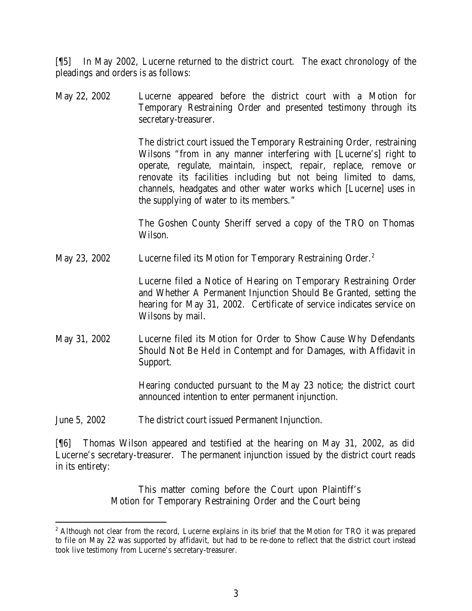[¶5] In May 2002, Lucerne returned to the district court. The exact chronology of the pleadings and orders is as follows:

May 22, 2002 Lucerne appeared before the district court with a Motion for Temporary Restraining Order and presented testimony through its secretary-treasurer.

> The district court issued the Temporary Restraining Order, restraining Wilsons "from in any manner interfering with [Lucerne's] right to operate, regulate, maintain, inspect, repair, replace, remove or renovate its facilities including but not being limited to dams, channels, headgates and other water works which [Lucerne] uses in the supplying of water to its members."

> The Goshen County Sheriff served a copy of the TRO on Thomas Wilson.

May 23, 2002 Lucerne filed its Motion for Temporary Restraining Order.<sup>2</sup>

Lucerne filed a Notice of Hearing on Temporary Restraining Order and Whether A Permanent Injunction Should Be Granted, setting the hearing for May 31, 2002. Certificate of service indicates service on Wilsons by mail.

May 31, 2002 Lucerne filed its Motion for Order to Show Cause Why Defendants Should Not Be Held in Contempt and for Damages, with Affidavit in Support.

> Hearing conducted pursuant to the May 23 notice; the district court announced intention to enter permanent injunction.

June 5, 2002 The district court issued Permanent Injunction.

[¶6] Thomas Wilson appeared and testified at the hearing on May 31, 2002, as did Lucerne's secretary-treasurer. The permanent injunction issued by the district court reads in its entirety:

> This matter coming before the Court upon Plaintiff's Motion for Temporary Restraining Order and the Court being

<sup>&</sup>lt;sup>2</sup> Although not clear from the record, Lucerne explains in its brief that the Motion for TRO it was prepared to file on May 22 was supported by affidavit, but had to be re-done to reflect that the district court instead took live testimony from Lucerne's secretary-treasurer.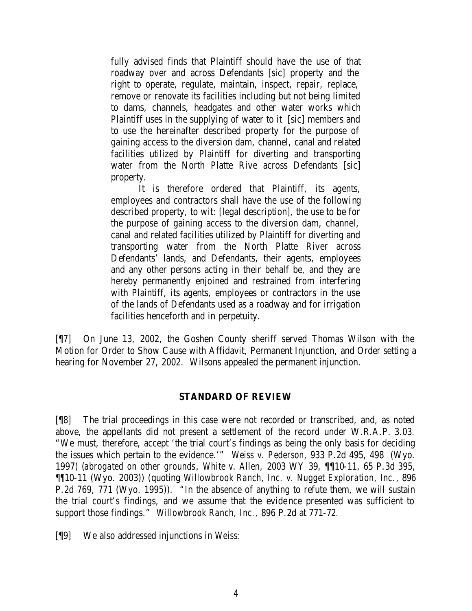fully advised finds that Plaintiff should have the use of that roadway over and across Defendants [sic] property and the right to operate, regulate, maintain, inspect, repair, replace, remove or renovate its facilities including but not being limited to dams, channels, headgates and other water works which Plaintiff uses in the supplying of water to it [sic] members and to use the hereinafter described property for the purpose of gaining access to the diversion dam, channel, canal and related facilities utilized by Plaintiff for diverting and transporting water from the North Platte Rive across Defendants [sic] property.

It is therefore ordered that Plaintiff, its agents, employees and contractors shall have the use of the following described property, to wit: [legal description], the use to be for the purpose of gaining access to the diversion dam, channel, canal and related facilities utilized by Plaintiff for diverting and transporting water from the North Platte River across Defendants' lands, and Defendants, their agents, employees and any other persons acting in their behalf be, and they are hereby permanently enjoined and restrained from interfering with Plaintiff, its agents, employees or contractors in the use of the lands of Defendants used as a roadway and for irrigation facilities henceforth and in perpetuity.

[¶7] On June 13, 2002, the Goshen County sheriff served Thomas Wilson with the Motion for Order to Show Cause with Affidavit, Permanent Injunction, and Order setting a hearing for November 27, 2002. Wilsons appealed the permanent injunction.

### **STANDARD OF REVIEW**

[¶8] The trial proceedings in this case were not recorded or transcribed, and, as noted above, the appellants did not present a settlement of the record under W.R.A.P. 3.03. "We must, therefore, accept 'the trial court's findings as being the only basis for deciding the issues which pertain to the evidence.'" *Weiss v. Pederson*, 933 P.2d 495, 498 (Wyo. 1997) (*abrogated on other grounds*, *White v. Allen,* 2003 WY 39, ¶¶10-11, 65 P.3d 395, ¶¶10-11 (Wyo. 2003)) (quoting *Willowbrook Ranch, Inc. v. Nugget Exploration*, *Inc.*, 896 P.2d 769, 771 (Wyo. 1995)). "In the absence of anything to refute them, we will sustain the trial court's findings, and we assume that the evidence presented was sufficient to support those findings." *Willowbrook Ranch, Inc.,* 896 P.2d at 771-72.

[¶9] We also addressed injunctions in *Weiss*: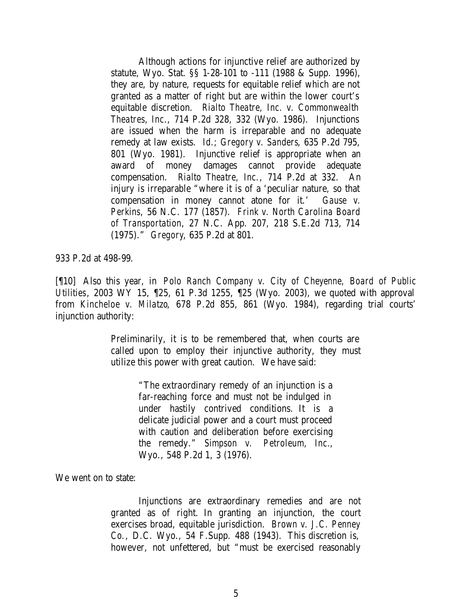Although actions for injunctive relief are authorized by statute, Wyo. Stat. §§ 1-28-101 to -111 (1988 & Supp. 1996), they are, by nature, requests for equitable relief which are not granted as a matter of right but are within the lower court's equitable discretion. *Rialto Theatre, Inc. v. Commonwealth Theatres, Inc*., 714 P.2d 328, 332 (Wyo. 1986). Injunctions are issued when the harm is irreparable and no adequate remedy at law exists. *Id.; Gregory v. Sanders*, 635 P.2d 795, 801 (Wyo. 1981). Injunctive relief is appropriate when an award of money damages cannot provide adequate compensation. *Rialto Theatre, Inc.*, 714 P.2d at 332. An injury is irreparable "where it is of a 'peculiar nature, so that compensation in money cannot atone for it.' *Gause v. Perkins*, 56 N.C. 177 (1857). *Frink v. North Carolina Board of Transportation*, 27 N.C. App. 207, 218 S.E.2d 713, 714 (1975)." *Gregory*, 635 P.2d at 801.

933 P.2d at 498-99.

[¶10] Also this year, in *Polo Ranch Company v. City of Cheyenne, Board of Public Utilities*, 2003 WY 15, ¶25, 61 P.3d 1255, ¶25 (Wyo. 2003), we quoted with approval from *Kincheloe v. Milatzo*, 678 P.2d 855, 861 (Wyo. 1984), regarding trial courts' injunction authority:

> Preliminarily, it is to be remembered that, when courts are called upon to employ their injunctive authority, they must utilize this power with great caution. We have said:

> > "The extraordinary remedy of an injunction is a far-reaching force and must not be indulged in under hastily contrived conditions. It is a delicate judicial power and a court must proceed with caution and deliberation before exercising the remedy." *Simpson v. Petroleum, Inc.*, Wyo., 548 P.2d 1, 3 (1976).

We went on to state:

Injunctions are extraordinary remedies and are not granted as of right. In granting an injunction, the court exercises broad, equitable jurisdiction. *Brown v. J.C. Penney Co.*, D.C. Wyo., 54 F.Supp. 488 (1943). This discretion is, however, not unfettered, but "must be exercised reasonably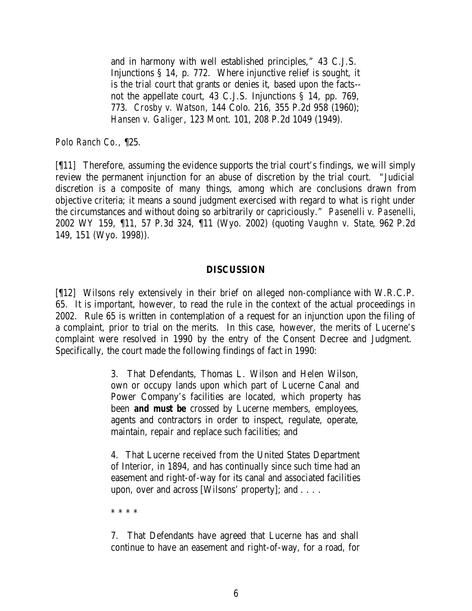and in harmony with well established principles," 43 C.J.S. Injunctions § 14, p. 772. Where injunctive relief is sought, it is the trial court that grants or denies it, based upon the facts- not the appellate court, 43 C.J.S. Injunctions § 14, pp. 769, 773. *Crosby v. Watson*, 144 Colo. 216, 355 P.2d 958 (1960); *Hansen v. Galiger*, 123 Mont. 101, 208 P.2d 1049 (1949).

*Polo Ranch Co.,* ¶25.

[¶11] Therefore, assuming the evidence supports the trial court's findings, we will simply review the permanent injunction for an abuse of discretion by the trial court. "Judicial discretion is a composite of many things, among which are conclusions drawn from objective criteria; it means a sound judgment exercised with regard to what is right under the circumstances and without doing so arbitrarily or capriciously." *Pasenelli v. Pasenelli*, 2002 WY 159, ¶11, 57 P.3d 324, ¶11 (Wyo. 2002) (quoting *Vaughn v. State*, 962 P.2d 149, 151 (Wyo. 1998)).

#### **DISCUSSION**

[¶12] Wilsons rely extensively in their brief on alleged non-compliance with W.R.C.P. 65. It is important, however, to read the rule in the context of the actual proceedings in 2002. Rule 65 is written in contemplation of a request for an injunction upon the filing of a complaint, prior to trial on the merits. In this case, however, the merits of Lucerne's complaint were resolved in 1990 by the entry of the Consent Decree and Judgment. Specifically, the court made the following findings of fact in 1990:

> 3. That Defendants, Thomas L. Wilson and Helen Wilson, own or occupy lands upon which part of Lucerne Canal and Power Company's facilities are located, which property has been *and must be* crossed by Lucerne members, employees, agents and contractors in order to inspect, regulate, operate, maintain, repair and replace such facilities; and

> 4. That Lucerne received from the United States Department of Interior, in 1894, and has continually since such time had an easement and right-of-way for its canal and associated facilities upon, over and across [Wilsons' property]; and . . . .

\* \* \* \*

7. That Defendants have agreed that Lucerne has and shall continue to have an easement and right-of-way, for a road, for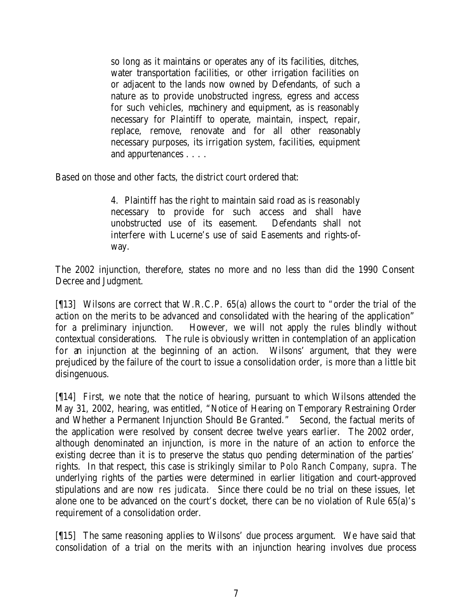so long as it maintains or operates any of its facilities, ditches, water transportation facilities, or other irrigation facilities on or adjacent to the lands now owned by Defendants, of such a nature as to provide unobstructed ingress, egress and access for such vehicles, machinery and equipment, as is reasonably necessary for Plaintiff to operate, maintain, inspect, repair, replace, remove, renovate and for all other reasonably necessary purposes, its irrigation system, facilities, equipment and appurtenances . . . .

Based on those and other facts, the district court ordered that:

4. Plaintiff has the right to maintain said road as is reasonably necessary to provide for such access and shall have unobstructed use of its easement. Defendants shall not interfere with Lucerne's use of said Easements and rights-ofway.

The 2002 injunction, therefore, states no more and no less than did the 1990 Consent Decree and Judgment.

[¶13] Wilsons are correct that W.R.C.P. 65(a) allows the court to "order the trial of the action on the merits to be advanced and consolidated with the hearing of the application" for a preliminary injunction. However, we will not apply the rules blindly without contextual considerations. The rule is obviously written in contemplation of an application for an injunction at the beginning of an action. Wilsons' argument, that they were prejudiced by the failure of the court to issue a consolidation order, is more than a little bit disingenuous.

[¶14] First, we note that the notice of hearing, pursuant to which Wilsons attended the May 31, 2002, hearing, was entitled, "Notice of Hearing on Temporary Restraining Order and Whether a Permanent Injunction Should Be Granted." Second, the factual merits of the application were resolved by consent decree twelve years earlier. The 2002 order, although denominated an injunction, is more in the nature of an action to enforce the existing decree than it is to preserve the status quo pending determination of the parties' rights. In that respect, this case is strikingly similar to *Polo Ranch Company, supra.* The underlying rights of the parties were determined in earlier litigation and court-approved stipulations and are now *res judicata.* Since there could be no trial on these issues, let alone one to be advanced on the court's docket, there can be no violation of Rule 65(a)'s requirement of a consolidation order.

[¶15] The same reasoning applies to Wilsons' due process argument. We have said that consolidation of a trial on the merits with an injunction hearing involves due process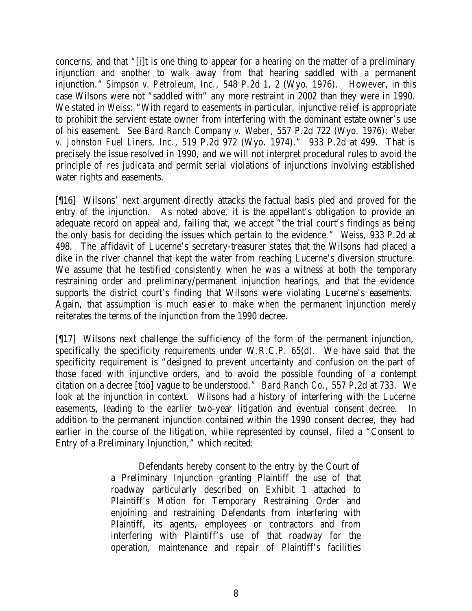concerns, and that "[i]t is one thing to appear for a hearing on the matter of a preliminary injunction and another to walk away from that hearing saddled with a permanent injunction." *Simpson v. Petroleum, Inc.,* 548 P.2d 1, 2 (Wyo. 1976). However, in this case Wilsons were not "saddled with" any more restraint in 2002 than they were in 1990. We stated in *Weiss*: "With regard to easements in particular, injunctive relief is appropriate to prohibit the servient estate owner from interfering with the dominant estate owner's use of his easement. *See Bard Ranch Company v. Weber*, 557 P.2d 722 (Wyo. 1976); *Weber v. Johnston Fuel Liners, Inc*., 519 P.2d 972 (Wyo. 1974)." 933 P.2d at 499. That is precisely the issue resolved in 1990, and we will not interpret procedural rules to avoid the principle of *res judicata* and permit serial violations of injunctions involving established water rights and easements.

[¶16] Wilsons' next argument directly attacks the factual basis pled and proved for the entry of the injunction. As noted above, it is the appellant's obligation to provide an adequate record on appeal and, failing that, we accept "the trial court's findings as being the only basis for deciding the issues which pertain to the evidence." *Weiss,* 933 P.2d at 498. The affidavit of Lucerne's secretary-treasurer states that the Wilsons had placed a dike in the river channel that kept the water from reaching Lucerne's diversion structure. We assume that he testified consistently when he was a witness at both the temporary restraining order and preliminary/permanent injunction hearings, and that the evidence supports the district court's finding that Wilsons were violating Lucerne's easements. Again, that assumption is much easier to make when the permanent injunction merely reiterates the terms of the injunction from the 1990 decree.

[¶17] Wilsons next challenge the sufficiency of the form of the permanent injunction, specifically the specificity requirements under W.R.C.P. 65(d). We have said that the specificity requirement is "designed to prevent uncertainty and confusion on the part of those faced with injunctive orders, and to avoid the possible founding of a contempt citation on a decree [too] vague to be understood." *Bard Ranch Co.,* 557 P.2d at 733. We look at the injunction in context. Wilsons had a history of interfering with the Lucerne easements, leading to the earlier two-year litigation and eventual consent decree. In addition to the permanent injunction contained within the 1990 consent decree, they had earlier in the course of the litigation, while represented by counsel, filed a "Consent to Entry of a Preliminary Injunction," which recited:

> Defendants hereby consent to the entry by the Court of a Preliminary Injunction granting Plaintiff the use of that roadway particularly described on Exhibit 1 attached to Plaintiff's Motion for Temporary Restraining Order and enjoining and restraining Defendants from interfering with Plaintiff, its agents, employees or contractors and from interfering with Plaintiff's use of that roadway for the operation, maintenance and repair of Plaintiff's facilities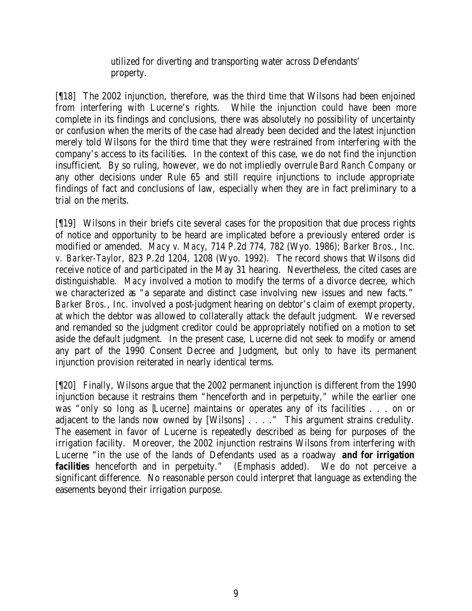utilized for diverting and transporting water across Defendants' property.

[¶18] The 2002 injunction, therefore, was the third time that Wilsons had been enjoined from interfering with Lucerne's rights. While the injunction could have been more complete in its findings and conclusions, there was absolutely no possibility of uncertainty or confusion when the merits of the case had already been decided and the latest injunction merely told Wilsons for the third time that they were restrained from interfering with the company's access to its facilities. In the context of this case, we do not find the injunction insufficient. By so ruling, however, we do not impliedly overrule *Bard Ranch Company* or any other decisions under Rule 65 and still require injunctions to include appropriate findings of fact and conclusions of law, especially when they are in fact preliminary to a trial on the merits.

[¶19] Wilsons in their briefs cite several cases for the proposition that due process rights of notice and opportunity to be heard are implicated before a previously entered order is modified or amended. *Macy v. Macy,* 714 P.2d 774, 782 (Wyo. 1986); *Barker Bros., Inc. v. Barker-Taylor*, 823 P.2d 1204, 1208 (Wyo. 1992). The record shows that Wilsons did receive notice of and participated in the May 31 hearing. Nevertheless, the cited cases are distinguishable. *Macy* involved a motion to modify the terms of a divorce decree, which we characterized as "a separate and distinct case involving new issues and new facts." *Barker Bros., Inc.* involved a post-judgment hearing on debtor's claim of exempt property, at which the debtor was allowed to collaterally attack the default judgment. We reversed and remanded so the judgment creditor could be appropriately notified on a motion to set aside the default judgment. In the present case, Lucerne did not seek to modify or amend any part of the 1990 Consent Decree and Judgment, but only to have its permanent injunction provision reiterated in nearly identical terms.

[¶20] Finally, Wilsons argue that the 2002 permanent injunction is different from the 1990 injunction because it restrains them "henceforth and in perpetuity," while the earlier one was "only so long as [Lucerne] maintains or operates any of its facilities . . . on or adjacent to the lands now owned by [Wilsons] . . . ." This argument strains credulity. The easement in favor of Lucerne is repeatedly described as being for purposes of the irrigation facility. Moreover, the 2002 injunction restrains Wilsons from interfering with Lucerne "in the use of the lands of Defendants used as a roadway *and for irrigation facilities* henceforth and in perpetuity." (Emphasis added). We do not perceive a significant difference. No reasonable person could interpret that language as extending the easements beyond their irrigation purpose.